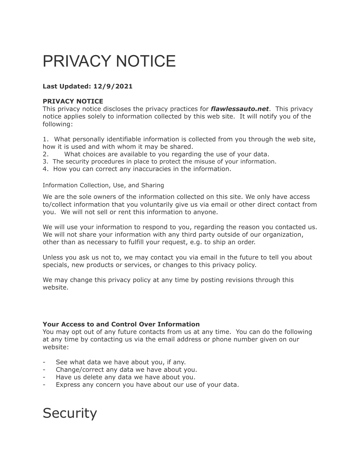# PRIVACY NOTICE

# **Last Updated: 12/9/2021**

## **PRIVACY NOTICE**

This privacy notice discloses the privacy practices for *flawlessauto.net*. This privacy notice applies solely to information collected by this web site. It will notify you of the following:

1. What personally identifiable information is collected from you through the web site, how it is used and with whom it may be shared.

- 2. What choices are available to you regarding the use of your data.
- 3. The security procedures in place to protect the misuse of your information.
- 4. How you can correct any inaccuracies in the information.

#### Information Collection, Use, and Sharing

We are the sole owners of the information collected on this site. We only have access to/collect information that you voluntarily give us via email or other direct contact from you. We will not sell or rent this information to anyone.

We will use your information to respond to you, regarding the reason you contacted us. We will not share your information with any third party outside of our organization, other than as necessary to fulfill your request, e.g. to ship an order.

Unless you ask us not to, we may contact you via email in the future to tell you about specials, new products or services, or changes to this privacy policy.

We may change this privacy policy at any time by posting revisions through this website.

### **Your Access to and Control Over Information**

You may opt out of any future contacts from us at any time. You can do the following at any time by contacting us via the email address or phone number given on our website:

- See what data we have about you, if any.
- Change/correct any data we have about you.
- Have us delete any data we have about you.
- Express any concern you have about our use of your data.